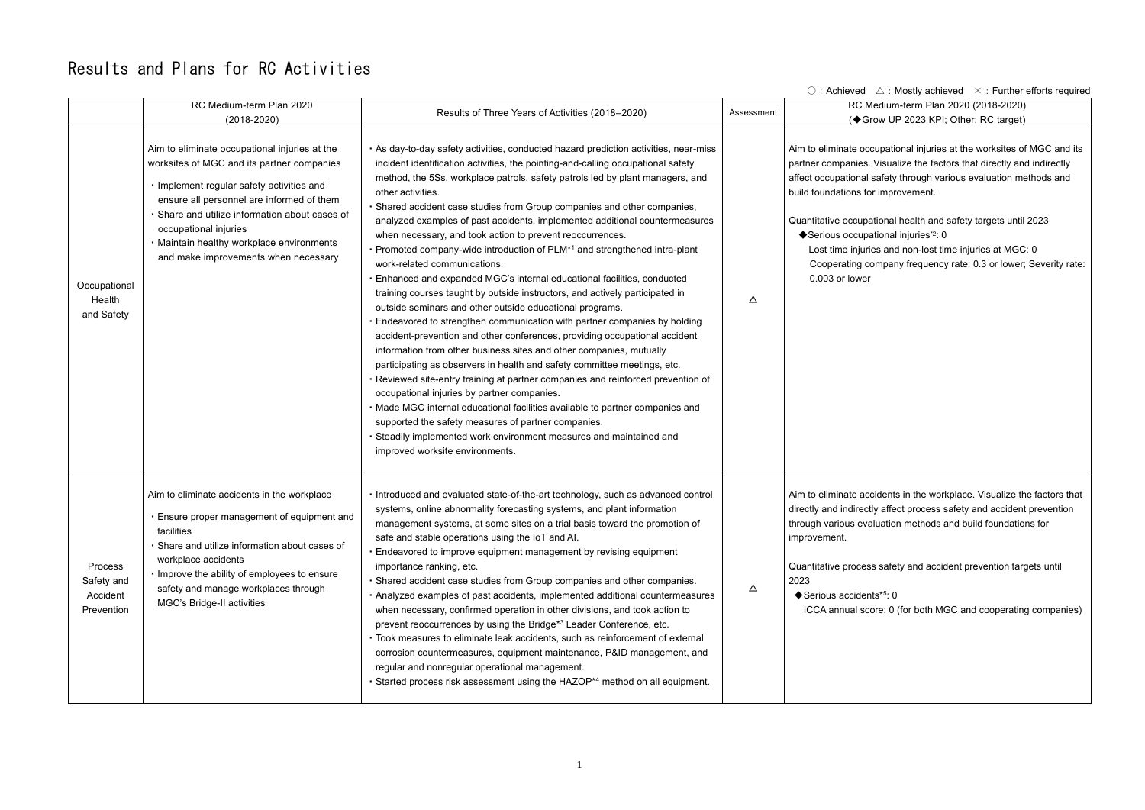$\circ$  : Achieved  $\wedge$ : Mostly achieved  $\times$ : Further efforts required Redium-term Plan 2020 (2018-2020) Grow UP 2023 KPI; Other: RC target)

> occupational injuries at the worksites of MGC and its es. Visualize the factors that directly and indirectly al safety through various evaluation methods and for improvement.

pational health and safety targets until 2023 ◆ Serious occupational injuries<sup>\*2</sup>: 0

> uries and non-lost time injuries at MGC:  $0$ company frequency rate: 0.3 or lower; Severity rate: er

> accidents in the workplace. Visualize the factors that ectly affect process safety and accident prevention valuation methods and build foundations for

ess safety and accident prevention targets until

score: 0 (for both MGC and cooperating companies)

## Results and Plans for RC Activities

|                                                 | RC Medium-term Plan 2020<br>$(2018 - 2020)$                                                                                                                                                                                                                                                                                                           | Results of Three Years of Activities (2018-2020)                                                                                                                                                                                                                                                                                                                                                                                                                                                                                                                                                                                                                                                                                                                                                                                                                                                                                                                                                                                                                                                                                                                                                                                                                                                                                                                                                                                                                                                                                                         | Assessment  | <b>RC</b> Mediun<br>(◆Grow UI                                                                                                                                                                                                                |
|-------------------------------------------------|-------------------------------------------------------------------------------------------------------------------------------------------------------------------------------------------------------------------------------------------------------------------------------------------------------------------------------------------------------|----------------------------------------------------------------------------------------------------------------------------------------------------------------------------------------------------------------------------------------------------------------------------------------------------------------------------------------------------------------------------------------------------------------------------------------------------------------------------------------------------------------------------------------------------------------------------------------------------------------------------------------------------------------------------------------------------------------------------------------------------------------------------------------------------------------------------------------------------------------------------------------------------------------------------------------------------------------------------------------------------------------------------------------------------------------------------------------------------------------------------------------------------------------------------------------------------------------------------------------------------------------------------------------------------------------------------------------------------------------------------------------------------------------------------------------------------------------------------------------------------------------------------------------------------------|-------------|----------------------------------------------------------------------------------------------------------------------------------------------------------------------------------------------------------------------------------------------|
| Occupational<br>Health<br>and Safety            | Aim to eliminate occupational injuries at the<br>worksites of MGC and its partner companies<br>· Implement regular safety activities and<br>ensure all personnel are informed of them<br>· Share and utilize information about cases of<br>occupational injuries<br>· Maintain healthy workplace environments<br>and make improvements when necessary | · As day-to-day safety activities, conducted hazard prediction activities, near-miss<br>incident identification activities, the pointing-and-calling occupational safety<br>method, the 5Ss, workplace patrols, safety patrols led by plant managers, and<br>other activities.<br>· Shared accident case studies from Group companies and other companies,<br>analyzed examples of past accidents, implemented additional countermeasures<br>when necessary, and took action to prevent reoccurrences.<br>• Promoted company-wide introduction of PLM <sup>*1</sup> and strengthened intra-plant<br>work-related communications.<br>· Enhanced and expanded MGC's internal educational facilities, conducted<br>training courses taught by outside instructors, and actively participated in<br>outside seminars and other outside educational programs.<br>Endeavored to strengthen communication with partner companies by holding<br>accident-prevention and other conferences, providing occupational accident<br>information from other business sites and other companies, mutually<br>participating as observers in health and safety committee meetings, etc.<br>· Reviewed site-entry training at partner companies and reinforced prevention of<br>occupational injuries by partner companies.<br>· Made MGC internal educational facilities available to partner companies and<br>supported the safety measures of partner companies.<br>Steadily implemented work environment measures and maintained and<br>improved worksite environments. | Δ           | Aim to eliminate occupation<br>partner companies. Visua<br>affect occupational safety<br>build foundations for impr<br>Quantitative occupational<br>◆ Serious occupational<br>Lost time injuries and<br>Cooperating compar<br>0.003 or lower |
| Process<br>Safety and<br>Accident<br>Prevention | Aim to eliminate accidents in the workplace<br>. Ensure proper management of equipment and<br>facilities<br>· Share and utilize information about cases of<br>workplace accidents<br>. Improve the ability of employees to ensure<br>safety and manage workplaces through<br>MGC's Bridge-II activities                                               | · Introduced and evaluated state-of-the-art technology, such as advanced control<br>systems, online abnormality forecasting systems, and plant information<br>management systems, at some sites on a trial basis toward the promotion of<br>safe and stable operations using the IoT and AI.<br>. Endeavored to improve equipment management by revising equipment<br>importance ranking, etc.<br>· Shared accident case studies from Group companies and other companies.<br>. Analyzed examples of past accidents, implemented additional countermeasures<br>when necessary, confirmed operation in other divisions, and took action to<br>prevent reoccurrences by using the Bridge*3 Leader Conference, etc.<br>· Took measures to eliminate leak accidents, such as reinforcement of external<br>corrosion countermeasures, equipment maintenance, P&ID management, and<br>regular and nonregular operational management.<br>• Started process risk assessment using the HAZOP <sup>*4</sup> method on all equipment.                                                                                                                                                                                                                                                                                                                                                                                                                                                                                                                               | $\triangle$ | Aim to eliminate accidents<br>directly and indirectly affe<br>through various evaluatio<br>improvement.<br>Quantitative process safe<br>2023<br>◆Serious accidents*5: 0<br>ICCA annual score: 0                                              |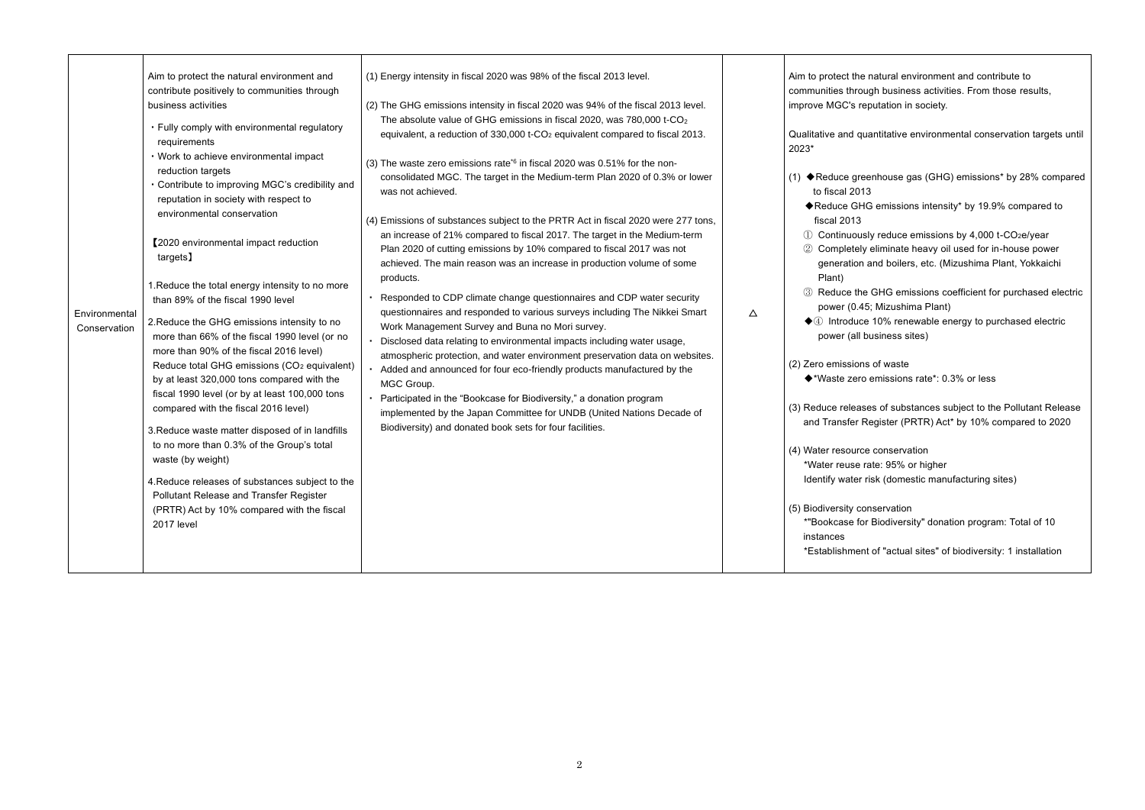m to protech the natural environment and contribute to ugh business activities. From those results, eputation in society. uantitative environmental conservation targets until enhouse gas (GHG) emissions\* by 28% compared  $\overline{3}$ IG emissions intensity\* by 19.9% compared to  $\,$ sly reduce emissions by 4,000 t-CO $_2$ e/year eliminate heavy oil used for in-house power and boilers, etc. (Mizushima Plant, Yokkaichi GHG emissions coefficient for purchased electric 5; Mizushima Plant) ↑ 10% renewable energy to purchased electric pusiness sites) s of waste emissions rate\*: 0.3% or less ses of substances subject to the Pollutant Release Register (PRTR) Act\* by 10% compared to 2020 e conservation

rate: 95% or higher risk (domestic manufacturing sites)

nservation Biodiversity" donation program: Total of 10

 $\mathbf x$  of "actual sites" of biodiversity: 1 installation

| (1) Energy intensity in fiscal 2020 was 98% of the fiscal 2013 level.<br>(2) The GHG emissions intensity in fiscal 2020 was 94% of the fiscal 2013 level.<br>The absolute value of GHG emissions in fiscal 2020, was 780,000 t-CO <sub>2</sub><br>equivalent, a reduction of 330,000 t-CO <sub>2</sub> equivalent compared to fiscal 2013.<br>(3) The waste zero emissions rate <sup>*6</sup> in fiscal 2020 was 0.51% for the non-<br>consolidated MGC. The target in the Medium-term Plan 2020 of 0.3% or lower<br>was not achieved.<br>(4) Emissions of substances subject to the PRTR Act in fiscal 2020 were 277 tons,<br>an increase of 21% compared to fiscal 2017. The target in the Medium-term<br>Plan 2020 of cutting emissions by 10% compared to fiscal 2017 was not<br>achieved. The main reason was an increase in production volume of some<br>products.<br>· Responded to CDP climate change questionnaires and CDP water security<br>questionnaires and responded to various surveys including The Nikkei Smart<br>Work Management Survey and Buna no Mori survey.<br>· Disclosed data relating to environmental impacts including water usage,<br>atmospheric protection, and water environment preservation data on websites.<br>• Added and announced for four eco-friendly products manufactured by the<br>MGC Group.<br>• Participated in the "Bookcase for Biodiversity," a donation program<br>implemented by the Japan Committee for UNDB (United Nations Decade of<br>Biodiversity) and donated book sets for four facilities. | Δ                                                                                                                                                             | Aim to protect the<br>communities throu<br>improve MGC's re<br>Qualitative and qu<br>2023*<br>(1) ◆ Reduce gree<br>to fiscal 2013<br>◆Reduce GH<br>fiscal 2013<br>1 Continuous<br>2 Completely<br>generation<br>Plant)<br>3 Reduce the<br>power (0.45<br>$\blacklozenge$ Introduce<br>power (all b<br>(2) Zero emissions<br>◆*Waste zero<br>(3) Reduce release<br>and Transfer R<br>(4) Water resource<br>*Water reuse ra<br>Identify water r<br>(5) Biodiversity cor<br>*"Bookcase for<br>instances<br>*Establishment |
|-----------------------------------------------------------------------------------------------------------------------------------------------------------------------------------------------------------------------------------------------------------------------------------------------------------------------------------------------------------------------------------------------------------------------------------------------------------------------------------------------------------------------------------------------------------------------------------------------------------------------------------------------------------------------------------------------------------------------------------------------------------------------------------------------------------------------------------------------------------------------------------------------------------------------------------------------------------------------------------------------------------------------------------------------------------------------------------------------------------------------------------------------------------------------------------------------------------------------------------------------------------------------------------------------------------------------------------------------------------------------------------------------------------------------------------------------------------------------------------------------------------------------------------------------------------|---------------------------------------------------------------------------------------------------------------------------------------------------------------|------------------------------------------------------------------------------------------------------------------------------------------------------------------------------------------------------------------------------------------------------------------------------------------------------------------------------------------------------------------------------------------------------------------------------------------------------------------------------------------------------------------------|
|                                                                                                                                                                                                                                                                                                                                                                                                                                                                                                                                                                                                                                                                                                                                                                                                                                                                                                                                                                                                                                                                                                                                                                                                                                                                                                                                                                                                                                                                                                                                                           | · Contribute to improving MGC's credibility and<br>Reduce total GHG emissions (CO <sub>2</sub> equivalent)<br>4. Reduce releases of substances subject to the |                                                                                                                                                                                                                                                                                                                                                                                                                                                                                                                        |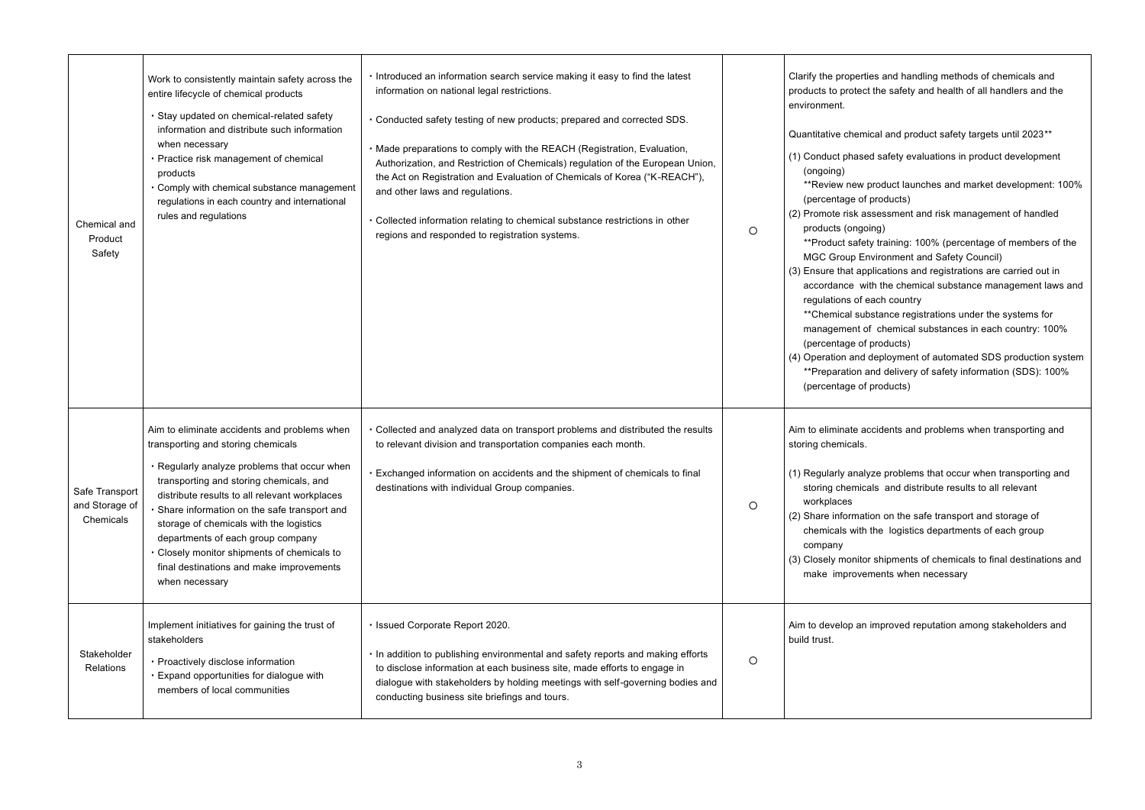ties and handling methods of chemicals and  $ct$  the safety and health of all handlers and the  $\overline{\phantom{a}}$ 

 $\frac{d}{dt}$  and product safety targets until 2023 $^{**}$ 

ed safety evaluations in product development

- product launches and market development: 100% f products)
- assessment and risk management of handled oing)
- ety training: 100% (percentage of members of the invironment and Safety Council)
- oplications and registrations are carried out in vith the chemical substance management laws and each country
- bstance registrations under the systems for of chemical substances in each country: 100%
- f products)
- I deployment of automated SDS production system and delivery of safety information (SDS): 100% f products)

accidents and problems when transporting and

lyze problems that occur when transporting and cals and distribute results to all relevant

tion on the safe transport and storage of the logistics departments of each group

or shipments of chemicals to final destinations and ements when necessary

improved reputation among stakeholders and

| Chemical and<br>Product<br>Safety             | Work to consistently maintain safety across the<br>entire lifecycle of chemical products<br>· Stay updated on chemical-related safety<br>information and distribute such information<br>when necessary<br>Practice risk management of chemical<br>products<br>• Comply with chemical substance management<br>regulations in each country and international<br>rules and regulations                                                                                          | . Introduced an information search service making it easy to find the latest<br>information on national legal restrictions.<br>. Conducted safety testing of new products; prepared and corrected SDS.<br>• Made preparations to comply with the REACH (Registration, Evaluation,<br>Authorization, and Restriction of Chemicals) regulation of the European Union,<br>the Act on Registration and Evaluation of Chemicals of Korea ("K-REACH"),<br>and other laws and regulations.<br>• Collected information relating to chemical substance restrictions in other<br>regions and responded to registration systems. | O          | Clarify the propert<br>products to protec<br>environment.<br>Quantitative chem<br>(1) Conduct phase<br>(ongoing)<br>**Review new<br>(percentage of<br>(2) Promote risk a<br>products (ongo<br>**Product safe<br>MGC Group E<br>(3) Ensure that ap<br>accordance w<br>regulations of<br>**Chemical sul<br>management o<br>(percentage of<br>(4) Operation and<br>**Preparation a<br>(percentage of |
|-----------------------------------------------|------------------------------------------------------------------------------------------------------------------------------------------------------------------------------------------------------------------------------------------------------------------------------------------------------------------------------------------------------------------------------------------------------------------------------------------------------------------------------|-----------------------------------------------------------------------------------------------------------------------------------------------------------------------------------------------------------------------------------------------------------------------------------------------------------------------------------------------------------------------------------------------------------------------------------------------------------------------------------------------------------------------------------------------------------------------------------------------------------------------|------------|---------------------------------------------------------------------------------------------------------------------------------------------------------------------------------------------------------------------------------------------------------------------------------------------------------------------------------------------------------------------------------------------------|
| Safe Transport<br>and Storage of<br>Chemicals | Aim to eliminate accidents and problems when<br>transporting and storing chemicals<br>. Regularly analyze problems that occur when<br>transporting and storing chemicals, and<br>distribute results to all relevant workplaces<br>· Share information on the safe transport and<br>storage of chemicals with the logistics<br>departments of each group company<br>· Closely monitor shipments of chemicals to<br>final destinations and make improvements<br>when necessary | . Collected and analyzed data on transport problems and distributed the results<br>to relevant division and transportation companies each month.<br>. Exchanged information on accidents and the shipment of chemicals to final<br>destinations with individual Group companies.                                                                                                                                                                                                                                                                                                                                      | $\bigcirc$ | Aim to eliminate a<br>storing chemicals.<br>(1) Regularly anal<br>storing chemic<br>workplaces<br>(2) Share informat<br>chemicals with<br>company<br>(3) Closely monito<br>make improve                                                                                                                                                                                                           |
| Stakeholder<br>Relations                      | Implement initiatives for gaining the trust of<br>stakeholders<br>· Proactively disclose information<br>· Expand opportunities for dialogue with<br>members of local communities                                                                                                                                                                                                                                                                                             | · Issued Corporate Report 2020.<br>. In addition to publishing environmental and safety reports and making efforts<br>to disclose information at each business site, made efforts to engage in<br>dialogue with stakeholders by holding meetings with self-governing bodies and<br>conducting business site briefings and tours.                                                                                                                                                                                                                                                                                      | $\circ$    | Aim to develop an<br>build trust.                                                                                                                                                                                                                                                                                                                                                                 |